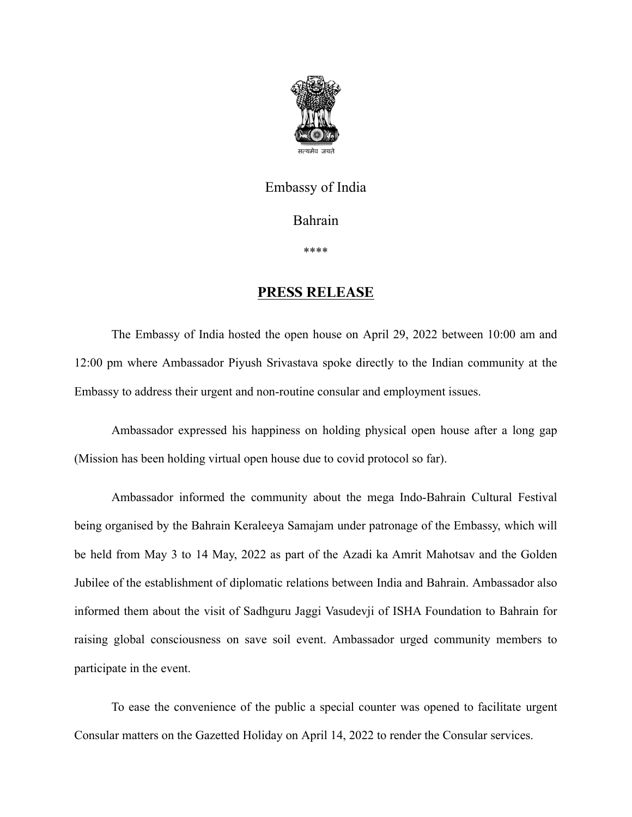

## Embassy of India

Bahrain

\*\*\*\*

## **PRESS RELEASE**

The Embassy of India hosted the open house on April 29, 2022 between 10:00 am and 12:00 pm where Ambassador Piyush Srivastava spoke directly to the Indian community at the Embassy to address their urgent and non-routine consular and employment issues.

Ambassador expressed his happiness on holding physical open house after a long gap (Mission has been holding virtual open house due to covid protocol so far).

Ambassador informed the community about the mega Indo-Bahrain Cultural Festival being organised by the Bahrain Keraleeya Samajam under patronage of the Embassy, which will be held from May 3 to 14 May, 2022 as part of the Azadi ka Amrit Mahotsav and the Golden Jubilee of the establishment of diplomatic relations between India and Bahrain. Ambassador also informed them about the visit of Sadhguru Jaggi Vasudevji of ISHA Foundation to Bahrain for raising global consciousness on save soil event. Ambassador urged community members to participate in the event.

To ease the convenience of the public a special counter was opened to facilitate urgent Consular matters on the Gazetted Holiday on April 14, 2022 to render the Consular services.